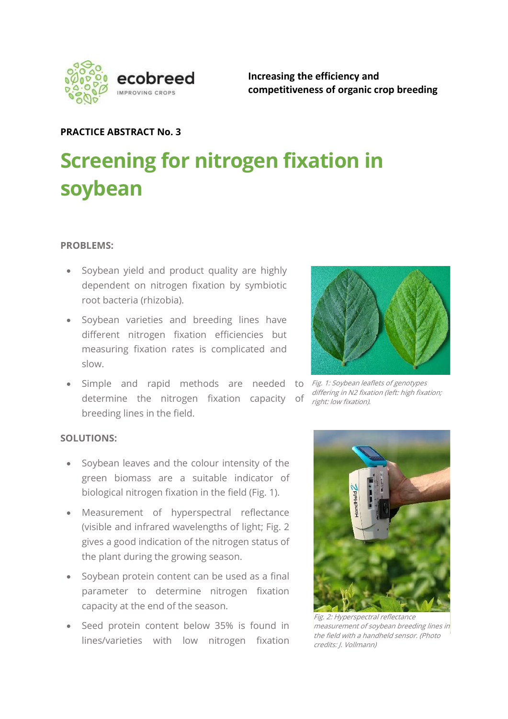

Increasing the efficiency and competitiveness of organic crop breeding

## PRACTICE ABSTRACT No. 3

# Screening for nitrogen fixation in soybean

#### PROBLEMS:

- Soybean yield and product quality are highly dependent on nitrogen fixation by symbiotic root bacteria (rhizobia).
- Soybean varieties and breeding lines have different nitrogen fixation efficiencies but measuring fixation rates is complicated and slow.
- Simple and rapid methods are needed to Fig. 1: Soybean leaflets of genotypes determine the nitrogen fixation capacity of breeding lines in the field.

#### SOLUTIONS:

- Soybean leaves and the colour intensity of the green biomass are a suitable indicator of biological nitrogen fixation in the field (Fig. 1).
- Measurement of hyperspectral reflectance (visible and infrared wavelengths of light; Fig. 2 gives a good indication of the nitrogen status of the plant during the growing season.
- Soybean protein content can be used as a final parameter to determine nitrogen fixation capacity at the end of the season.
- Seed protein content below 35% is found in lines/varieties with low nitrogen fixation



differing in N2 fixation (left: high fixation; right: low fixation).



Fig. 2: Hyperspectral reflectance measurement of soybean breeding lines in the field with a handheld sensor. (Photo credits: J. Vollmann)